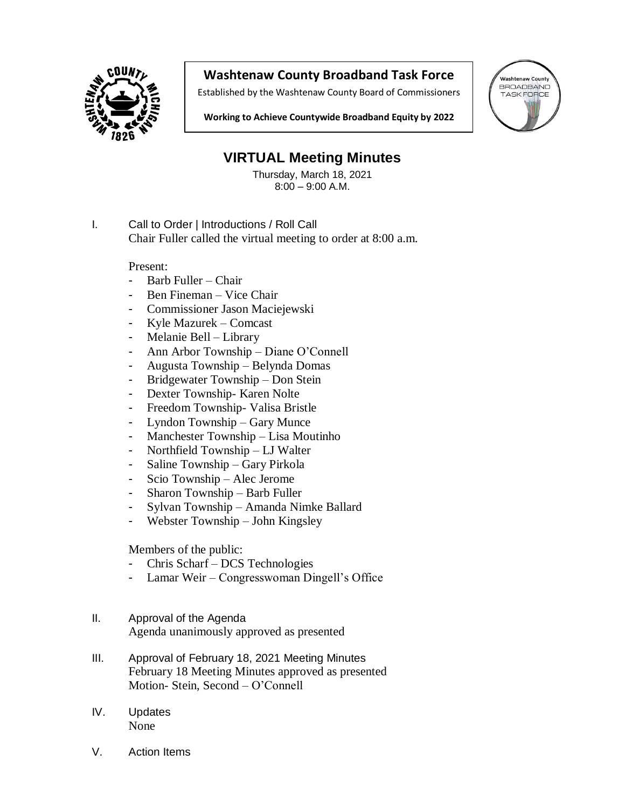

## **Washtenaw County Broadband Task Force**

Established by the Washtenaw County Board of Commissioners



**Working to Achieve Countywide Broadband Equity by 2022**

## **VIRTUAL Meeting Minutes**

Thursday, March 18, 2021 8:00 – 9:00 A.M.

I. Call to Order | Introductions / Roll Call Chair Fuller called the virtual meeting to order at 8:00 a.m.

Present:

- Barb Fuller Chair
- Ben Fineman Vice Chair
- Commissioner Jason Maciejewski
- Kyle Mazurek Comcast
- Melanie Bell Library
- Ann Arbor Township Diane O'Connell
- Augusta Township Belynda Domas
- Bridgewater Township Don Stein
- Dexter Township- Karen Nolte
- Freedom Township- Valisa Bristle
- Lyndon Township Gary Munce
- Manchester Township Lisa Moutinho
- Northfield Township LJ Walter
- Saline Township Gary Pirkola
- Scio Township Alec Jerome
- Sharon Township Barb Fuller
- Sylvan Township Amanda Nimke Ballard
- Webster Township John Kingsley

Members of the public:

- Chris Scharf DCS Technologies
- Lamar Weir Congresswoman Dingell's Office
- II. Approval of the Agenda Agenda unanimously approved as presented
- III. Approval of February 18, 2021 Meeting Minutes February 18 Meeting Minutes approved as presented Motion- Stein, Second – O'Connell
- IV. Updates None
- V. Action Items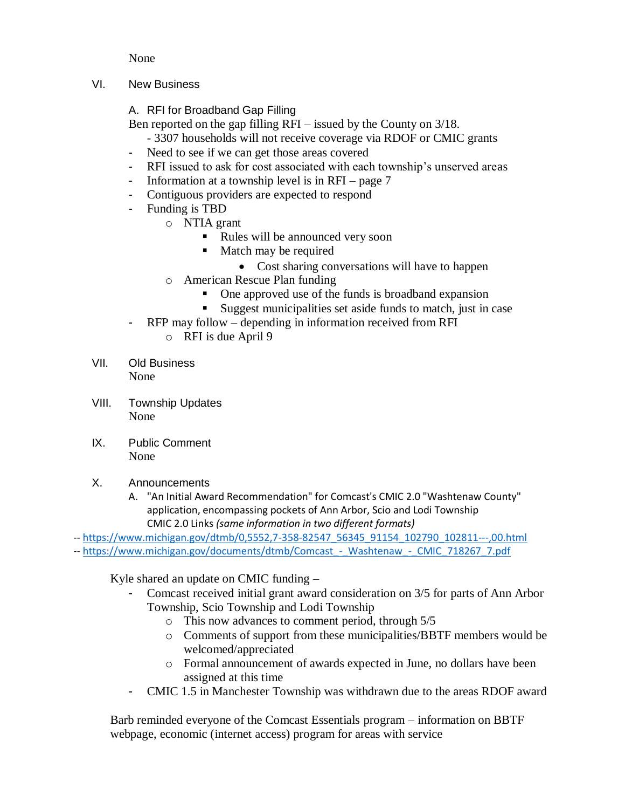None

VI. New Business

A. RFI for Broadband Gap Filling

Ben reported on the gap filling RFI – issued by the County on 3/18.

- 3307 households will not receive coverage via RDOF or CMIC grants
- Need to see if we can get those areas covered
- RFI issued to ask for cost associated with each township's unserved areas
- Information at a township level is in RFI page 7
- Contiguous providers are expected to respond
- Funding is TBD
	- o NTIA grant
		- Rules will be announced very soon
		- Match may be required
			- Cost sharing conversations will have to happen
	- o American Rescue Plan funding
		- One approved use of the funds is broadband expansion
		- Suggest municipalities set aside funds to match, just in case
- RFP may follow depending in information received from RFI
	- o RFI is due April 9
- VII. Old Business None
- VIII. Township Updates None
- IX. Public Comment None
- X. Announcements
	- A. "An Initial Award Recommendation" for Comcast's CMIC 2.0 "Washtenaw County" application, encompassing pockets of Ann Arbor, Scio and Lodi Township CMIC 2.0 Links *(same information in two different formats)*

-- [https://www.michigan.gov/dtmb/0,5552,7-358-82547\\_56345\\_91154\\_102790\\_102811---,00.html](https://www.michigan.gov/dtmb/0,5552,7-358-82547_56345_91154_102790_102811---,00.html)

-- https://www.michigan.gov/documents/dtmb/Comcast - Washtenaw - CMIC 718267 7.pdf

Kyle shared an update on CMIC funding –

- Comcast received initial grant award consideration on 3/5 for parts of Ann Arbor Township, Scio Township and Lodi Township
	- o This now advances to comment period, through 5/5
	- o Comments of support from these municipalities/BBTF members would be welcomed/appreciated
	- o Formal announcement of awards expected in June, no dollars have been assigned at this time
- CMIC 1.5 in Manchester Township was withdrawn due to the areas RDOF award

Barb reminded everyone of the Comcast Essentials program – information on BBTF webpage, economic (internet access) program for areas with service